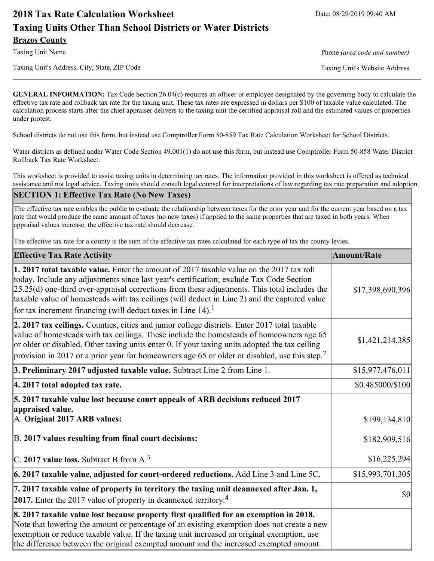# **2018 Tax Rate Calculation Worksheet** Date: 08/29/2019 09:40 AM **Taxing Units Other Than School Districts or Water Districts Brazos County**

Taxing Unit's Address, City, State, ZIP Code Taxing Unit's Website Address

Taxing Unit Name **Phone** *(area code and number)* Phone *(area code and number)* 

**GENERAL INFORMATION:** Tax Code Section 26.04(c) requires an officer or employee designated by the governing body to calculate the effective tax rate and rollback tax rate for the taxing unit. These tax rates are expressed in dollars per \$100 of taxable value calculated. The calculation process starts after the chief appraiser delivers to the taxing unit the certified appraisal roll and the estimated values of properties under protest.

School districts do not use this form, but instead use Comptroller Form 50-859 Tax Rate Calculation Worksheet for School Districts.

Water districts as defined under Water Code Section 49.001(1) do not use this form, but instead use Comptroller Form 50-858 Water District Rollback Tax Rate Worksheet.

This worksheet is provided to assist taxing units in determining tax rates. The information provided in this worksheet is offered as technical assistance and not legal advice. Taxing units should consult legal counsel for interpretations of law regarding tax rate preparation and adoption.

#### **SECTION 1: Effective Tax Rate (No New Taxes)**

The effective tax rate enables the public to evaluate the relationship between taxes for the prior year and for the current year based on a tax rate that would produce the same amount of taxes (no new taxes) if applied to the same properties that are taxed in both years. When appraisal values increase, the effective tax rate should decrease.

The effective tax rate for a county is the sum of the effective tax rates calculated for each type of tax the county levies.

| <b>Effective Tax Rate Activity</b>                                                                                                                                                                                                                                                                                                                                                                                                                                             | <b>Amount/Rate</b> |
|--------------------------------------------------------------------------------------------------------------------------------------------------------------------------------------------------------------------------------------------------------------------------------------------------------------------------------------------------------------------------------------------------------------------------------------------------------------------------------|--------------------|
| <b>1. 2017 total taxable value.</b> Enter the amount of 2017 taxable value on the 2017 tax roll<br>today. Include any adjustments since last year's certification; exclude Tax Code Section<br>$[25.25(d)$ one-third over-appraisal corrections from these adjustments. This total includes the<br>taxable value of homesteads with tax ceilings (will deduct in Line 2) and the captured value<br>for tax increment financing (will deduct taxes in Line $14$ ). <sup>1</sup> | \$17,398,690,396   |
| 2. 2017 tax ceilings. Counties, cities and junior college districts. Enter 2017 total taxable<br>value of homesteads with tax ceilings. These include the homesteads of homeowners age 65<br>or older or disabled. Other taxing units enter 0. If your taxing units adopted the tax ceiling<br>provision in 2017 or a prior year for homeowners age 65 or older or disabled, use this step. <sup>2</sup>                                                                       | \$1,421,214,385    |
| 3. Preliminary 2017 adjusted taxable value. Subtract Line 2 from Line 1.                                                                                                                                                                                                                                                                                                                                                                                                       | \$15,977,476,011   |
| 4. 2017 total adopted tax rate.                                                                                                                                                                                                                                                                                                                                                                                                                                                | \$0.485000/\$100   |
| 5. 2017 taxable value lost because court appeals of ARB decisions reduced 2017<br>appraised value.<br>A. Original 2017 ARB values:                                                                                                                                                                                                                                                                                                                                             | \$199,134,810      |
| B. 2017 values resulting from final court decisions:                                                                                                                                                                                                                                                                                                                                                                                                                           | \$182,909,516      |
| $\vert$ C. 2017 value loss. Subtract B from A. <sup>3</sup>                                                                                                                                                                                                                                                                                                                                                                                                                    | \$16,225,294]      |
| $\vert$ 6. 2017 taxable value, adjusted for court-ordered reductions. Add Line 3 and Line 5C.                                                                                                                                                                                                                                                                                                                                                                                  | \$15,993,701,305   |
| 7. 2017 taxable value of property in territory the taxing unit deannexed after Jan. 1,<br><b>2017.</b> Enter the 2017 value of property in deannexed territory. <sup>4</sup>                                                                                                                                                                                                                                                                                                   | $ 10\rangle$       |
| 8. 2017 taxable value lost because property first qualified for an exemption in 2018.<br>Note that lowering the amount or percentage of an existing exemption does not create a new<br>exemption or reduce taxable value. If the taxing unit increased an original exemption, use<br>the difference between the original exempted amount and the increased exempted amount.                                                                                                    |                    |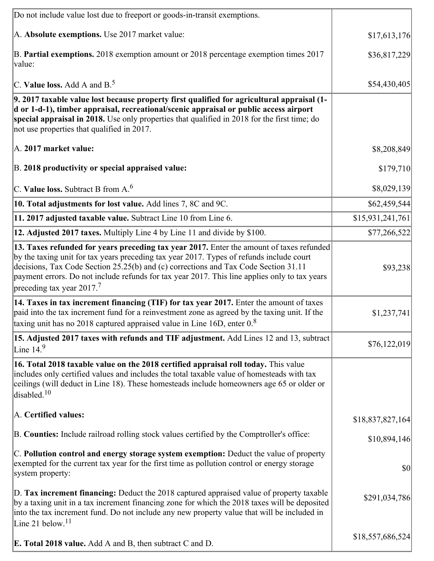| Do not include value lost due to freeport or goods-in-transit exemptions.                                                                                                                                                                                                                                                                                                                                             |                  |
|-----------------------------------------------------------------------------------------------------------------------------------------------------------------------------------------------------------------------------------------------------------------------------------------------------------------------------------------------------------------------------------------------------------------------|------------------|
| A. Absolute exemptions. Use 2017 market value:                                                                                                                                                                                                                                                                                                                                                                        | \$17,613,176     |
| B. Partial exemptions. 2018 exemption amount or 2018 percentage exemption times 2017<br>value:                                                                                                                                                                                                                                                                                                                        | \$36,817,229     |
| C. Value loss. Add A and $B^5$                                                                                                                                                                                                                                                                                                                                                                                        | \$54,430,405     |
| 9. 2017 taxable value lost because property first qualified for agricultural appraisal (1-<br>d or 1-d-1), timber appraisal, recreational/scenic appraisal or public access airport<br>special appraisal in 2018. Use only properties that qualified in 2018 for the first time; do<br>not use properties that qualified in 2017.                                                                                     |                  |
| A. 2017 market value:                                                                                                                                                                                                                                                                                                                                                                                                 | \$8,208,849      |
| B. 2018 productivity or special appraised value:                                                                                                                                                                                                                                                                                                                                                                      | \$179,710        |
| C. Value loss. Subtract B from $A6$                                                                                                                                                                                                                                                                                                                                                                                   | \$8,029,139      |
| 10. Total adjustments for lost value. Add lines 7, 8C and 9C.                                                                                                                                                                                                                                                                                                                                                         | \$62,459,544     |
| 11. 2017 adjusted taxable value. Subtract Line 10 from Line 6.                                                                                                                                                                                                                                                                                                                                                        | \$15,931,241,761 |
| 12. Adjusted 2017 taxes. Multiply Line 4 by Line 11 and divide by \$100.                                                                                                                                                                                                                                                                                                                                              | \$77,266,522     |
| 13. Taxes refunded for years preceding tax year 2017. Enter the amount of taxes refunded<br>by the taxing unit for tax years preceding tax year 2017. Types of refunds include court<br>decisions, Tax Code Section 25.25(b) and (c) corrections and Tax Code Section 31.11<br>payment errors. Do not include refunds for tax year 2017. This line applies only to tax years<br>preceding tax year 2017. <sup>7</sup> | \$93,238         |
| 14. Taxes in tax increment financing (TIF) for tax year 2017. Enter the amount of taxes<br>paid into the tax increment fund for a reinvestment zone as agreed by the taxing unit. If the<br>taxing unit has no 2018 captured appraised value in Line 16D, enter $08$                                                                                                                                                  | \$1,237,741      |
| 15. Adjusted 2017 taxes with refunds and TIF adjustment. Add Lines 12 and 13, subtract<br>Line $14.9$                                                                                                                                                                                                                                                                                                                 | \$76,122,019     |
| 16. Total 2018 taxable value on the 2018 certified appraisal roll today. This value<br>includes only certified values and includes the total taxable value of homesteads with tax<br>ceilings (will deduct in Line 18). These homesteads include homeowners age 65 or older or<br>disabled. $10$                                                                                                                      |                  |
| A. Certified values:                                                                                                                                                                                                                                                                                                                                                                                                  | \$18,837,827,164 |
| B. Counties: Include railroad rolling stock values certified by the Comptroller's office:                                                                                                                                                                                                                                                                                                                             | \$10,894,146     |
| C. Pollution control and energy storage system exemption: Deduct the value of property<br>exempted for the current tax year for the first time as pollution control or energy storage<br>system property:                                                                                                                                                                                                             | \$0              |
| D. Tax increment financing: Deduct the 2018 captured appraised value of property taxable<br>by a taxing unit in a tax increment financing zone for which the 2018 taxes will be deposited<br>into the tax increment fund. Do not include any new property value that will be included in<br>Line 21 below. $11$                                                                                                       | \$291,034,786    |
| <b>E. Total 2018 value.</b> Add A and B, then subtract C and D.                                                                                                                                                                                                                                                                                                                                                       | \$18,557,686,524 |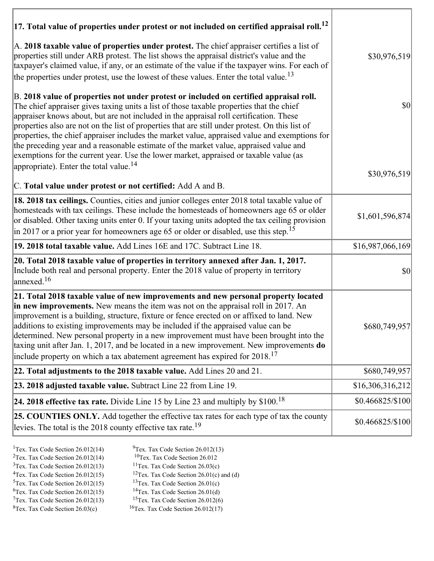| 17. Total value of properties under protest or not included on certified appraisal roll. <sup>12</sup><br>A. 2018 taxable value of properties under protest. The chief appraiser certifies a list of                                                                                                                                                                                                                                                                                                                                                                                                                                                                                                                     |                   |
|--------------------------------------------------------------------------------------------------------------------------------------------------------------------------------------------------------------------------------------------------------------------------------------------------------------------------------------------------------------------------------------------------------------------------------------------------------------------------------------------------------------------------------------------------------------------------------------------------------------------------------------------------------------------------------------------------------------------------|-------------------|
| properties still under ARB protest. The list shows the appraisal district's value and the<br>taxpayer's claimed value, if any, or an estimate of the value if the taxpayer wins. For each of<br>the properties under protest, use the lowest of these values. Enter the total value. <sup>13</sup>                                                                                                                                                                                                                                                                                                                                                                                                                       | \$30,976,519      |
| B. 2018 value of properties not under protest or included on certified appraisal roll.<br>The chief appraiser gives taxing units a list of those taxable properties that the chief<br>appraiser knows about, but are not included in the appraisal roll certification. These<br>properties also are not on the list of properties that are still under protest. On this list of<br>properties, the chief appraiser includes the market value, appraised value and exemptions for<br>the preceding year and a reasonable estimate of the market value, appraised value and<br>exemptions for the current year. Use the lower market, appraised or taxable value (as<br>appropriate). Enter the total value. <sup>14</sup> | $ 10\rangle$      |
|                                                                                                                                                                                                                                                                                                                                                                                                                                                                                                                                                                                                                                                                                                                          | \$30,976,519      |
| C. Total value under protest or not certified: Add A and B.                                                                                                                                                                                                                                                                                                                                                                                                                                                                                                                                                                                                                                                              |                   |
| 18. 2018 tax ceilings. Counties, cities and junior colleges enter 2018 total taxable value of<br>homesteads with tax ceilings. These include the homesteads of homeowners age 65 or older<br>or disabled. Other taxing units enter 0. If your taxing units adopted the tax ceiling provision<br>in 2017 or a prior year for homeowners age 65 or older or disabled, use this step. <sup>15</sup>                                                                                                                                                                                                                                                                                                                         | \$1,601,596,874   |
| 19. 2018 total taxable value. Add Lines 16E and 17C. Subtract Line 18.                                                                                                                                                                                                                                                                                                                                                                                                                                                                                                                                                                                                                                                   | \$16,987,066,169  |
| 20. Total 2018 taxable value of properties in territory annexed after Jan. 1, 2017.<br>Include both real and personal property. Enter the 2018 value of property in territory<br>annexed. <sup>16</sup>                                                                                                                                                                                                                                                                                                                                                                                                                                                                                                                  | \$0               |
| 21. Total 2018 taxable value of new improvements and new personal property located<br>in new improvements. New means the item was not on the appraisal roll in 2017. An<br>improvement is a building, structure, fixture or fence erected on or affixed to land. New<br>additions to existing improvements may be included if the appraised value can be<br>determined. New personal property in a new improvement must have been brought into the<br>taxing unit after Jan. 1, 2017, and be located in a new improvement. New improvements do<br>include property on which a tax abatement agreement has expired for 2018. <sup>17</sup>                                                                                | \$680,749,957     |
| 22. Total adjustments to the 2018 taxable value. Add Lines 20 and 21.                                                                                                                                                                                                                                                                                                                                                                                                                                                                                                                                                                                                                                                    | \$680,749,957     |
| 23. 2018 adjusted taxable value. Subtract Line 22 from Line 19.                                                                                                                                                                                                                                                                                                                                                                                                                                                                                                                                                                                                                                                          | \$16,306,316,212  |
| 24. 2018 effective tax rate. Divide Line 15 by Line 23 and multiply by $$100$ . <sup>18</sup>                                                                                                                                                                                                                                                                                                                                                                                                                                                                                                                                                                                                                            | \$0.466825/\$100  |
| <b>25. COUNTIES ONLY.</b> Add together the effective tax rates for each type of tax the county<br>levies. The total is the 2018 county effective tax rate. <sup>19</sup>                                                                                                                                                                                                                                                                                                                                                                                                                                                                                                                                                 | $$0.466825/\$100$ |

- 
- <sup>1</sup>Tex. Tax Code Section 26.012(14) <sup>9</sup>Tex. Tax Code Section 26.012(13) <sup>9</sup>Tex. Tax Code Section 26.012
- <sup>2</sup>Tex. Tax Code Section 26.012(14) <sup>10</sup>Tex. Tax Code Section 26.012<br><sup>3</sup>Tex. Tax Code Section 26.03(c) <sup>11</sup>Tex. Tax Code Section 26.03(c)
	- <sup>12</sup>Tex. Tax Code Section 26.01(c) and (d) <sup>13</sup>Tex. Tax Code Section 26.01(c)
- ${}^{3}$ Tex. Tax Code Section 26.012(13)<br> ${}^{4}$ Tex. Tax Code Section 26.012(15)
	-
- <sup>5</sup>Tex. Tax Code Section 26.012(15) <sup>13</sup>Tex. Tax Code Section 26.01(c)<br><sup>6</sup>Tex. Tax Code Section 26.012(15) <sup>14</sup>Tex. Tax Code Section 26.01(d)
- <sup>6</sup>Tex. Tax Code Section 26.012(15) <sup>14</sup>Tex. Tax Code Section 26.01(d)<br><sup>7</sup>Tex. Tax Code Section 26.012(13) <sup>15</sup>Tex. Tax Code Section 26.012(6)
- $7$ Tex. Tax Code Section 26.012(13)<br><sup>8</sup>Tex. Tax Code Section 26.03(c)
- $16$ Tex. Tax Code Section 26.012(17)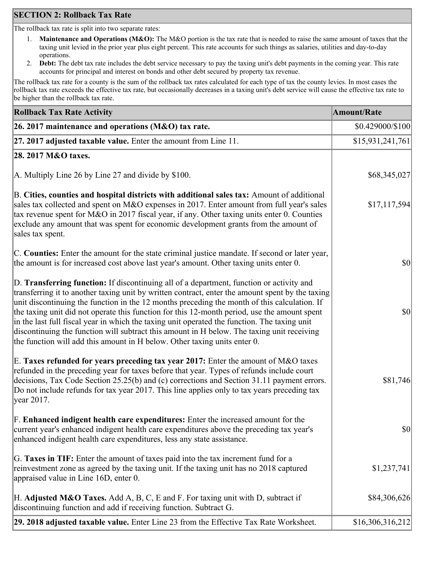# **SECTION 2: Rollback Tax Rate**

The rollback tax rate is split into two separate rates:

- 1. **Maintenance and Operations (M&O):** The M&O portion is the tax rate that is needed to raise the same amount of taxes that the taxing unit levied in the prior year plus eight percent. This rate accounts for such things as salaries, utilities and day-to-day operations.
- 2. **Debt:** The debt tax rate includes the debt service necessary to pay the taxing unit's debt payments in the coming year. This rate accounts for principal and interest on bonds and other debt secured by property tax revenue.

The rollback tax rate for a county is the sum of the rollback tax rates calculated for each type of tax the county levies. In most cases the rollback tax rate exceeds the effective tax rate, but occasionally decreases in a taxing unit's debt service will cause the effective tax rate to be higher than the rollback tax rate.

| <b>Rollback Tax Rate Activity</b>                                                                                                                                                                                                                                                                                                                                                                                                                                                                                                                                                                                                                                       | <b>Amount/Rate</b> |
|-------------------------------------------------------------------------------------------------------------------------------------------------------------------------------------------------------------------------------------------------------------------------------------------------------------------------------------------------------------------------------------------------------------------------------------------------------------------------------------------------------------------------------------------------------------------------------------------------------------------------------------------------------------------------|--------------------|
| 26. 2017 maintenance and operations ( $M&O$ ) tax rate.                                                                                                                                                                                                                                                                                                                                                                                                                                                                                                                                                                                                                 | \$0.429000/\$100   |
| 27. 2017 adjusted taxable value. Enter the amount from Line 11.                                                                                                                                                                                                                                                                                                                                                                                                                                                                                                                                                                                                         | \$15,931,241,761   |
| 28. 2017 M&O taxes.                                                                                                                                                                                                                                                                                                                                                                                                                                                                                                                                                                                                                                                     |                    |
| A. Multiply Line 26 by Line 27 and divide by $$100$ .                                                                                                                                                                                                                                                                                                                                                                                                                                                                                                                                                                                                                   | \$68,345,027       |
| B. Cities, counties and hospital districts with additional sales tax: Amount of additional<br>sales tax collected and spent on M&O expenses in 2017. Enter amount from full year's sales<br>tax revenue spent for M&O in 2017 fiscal year, if any. Other taxing units enter 0. Counties<br>exclude any amount that was spent for economic development grants from the amount of<br>sales tax spent.                                                                                                                                                                                                                                                                     | \$17,117,594       |
| C. Counties: Enter the amount for the state criminal justice mandate. If second or later year,<br>the amount is for increased cost above last year's amount. Other taxing units enter 0.                                                                                                                                                                                                                                                                                                                                                                                                                                                                                | $ 10\rangle$       |
| D. Transferring function: If discontinuing all of a department, function or activity and<br>transferring it to another taxing unit by written contract, enter the amount spent by the taxing<br>unit discontinuing the function in the 12 months preceding the month of this calculation. If<br>the taxing unit did not operate this function for this 12-month period, use the amount spent<br>in the last full fiscal year in which the taxing unit operated the function. The taxing unit<br>discontinuing the function will subtract this amount in H below. The taxing unit receiving<br>the function will add this amount in H below. Other taxing units enter 0. | $ 10\rangle$       |
| E. Taxes refunded for years preceding tax year 2017: Enter the amount of M&O taxes<br>refunded in the preceding year for taxes before that year. Types of refunds include court<br>decisions, Tax Code Section 25.25(b) and (c) corrections and Section 31.11 payment errors.<br>Do not include refunds for tax year 2017. This line applies only to tax years preceding tax<br> year 2017.                                                                                                                                                                                                                                                                             | \$81,746           |
| F. Enhanced indigent health care expenditures: Enter the increased amount for the<br>current year's enhanced indigent health care expenditures above the preceding tax year's<br>enhanced indigent health care expenditures, less any state assistance.                                                                                                                                                                                                                                                                                                                                                                                                                 | <b>\$0</b>         |
| G. Taxes in TIF: Enter the amount of taxes paid into the tax increment fund for a<br>reinvestment zone as agreed by the taxing unit. If the taxing unit has no 2018 captured<br>appraised value in Line 16D, enter 0.                                                                                                                                                                                                                                                                                                                                                                                                                                                   | \$1,237,741        |
| H. Adjusted M&O Taxes. Add A, B, C, E and F. For taxing unit with D, subtract if<br>discontinuing function and add if receiving function. Subtract G.                                                                                                                                                                                                                                                                                                                                                                                                                                                                                                                   | \$84,306,626       |
| 29. 2018 adjusted taxable value. Enter Line 23 from the Effective Tax Rate Worksheet.                                                                                                                                                                                                                                                                                                                                                                                                                                                                                                                                                                                   | \$16,306,316,212   |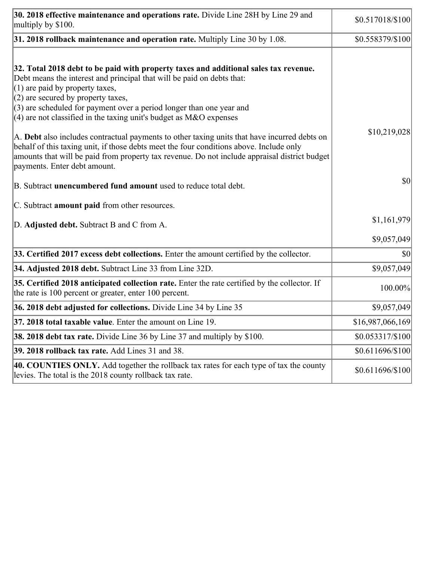| 30. 2018 effective maintenance and operations rate. Divide Line 28H by Line 29 and<br>multiply by \$100.                                                                                                                                                                                                                 | \$0.517018/\$100 |
|--------------------------------------------------------------------------------------------------------------------------------------------------------------------------------------------------------------------------------------------------------------------------------------------------------------------------|------------------|
| $31.2018$ rollback maintenance and operation rate. Multiply Line 30 by 1.08.                                                                                                                                                                                                                                             | \$0.558379/\$100 |
| 32. Total 2018 debt to be paid with property taxes and additional sales tax revenue.<br>Debt means the interest and principal that will be paid on debts that:<br>$(1)$ are paid by property taxes,<br>$(2)$ are secured by property taxes,                                                                              |                  |
| $(3)$ are scheduled for payment over a period longer than one year and<br>(4) are not classified in the taxing unit's budget as $M&O$ expenses                                                                                                                                                                           |                  |
| A. Debt also includes contractual payments to other taxing units that have incurred debts on<br>behalf of this taxing unit, if those debts meet the four conditions above. Include only<br>amounts that will be paid from property tax revenue. Do not include appraisal district budget<br>payments. Enter debt amount. | \$10,219,028     |
| B. Subtract <b>unencumbered fund amount</b> used to reduce total debt.                                                                                                                                                                                                                                                   | \$0              |
| C. Subtract amount paid from other resources.                                                                                                                                                                                                                                                                            |                  |
| D. Adjusted debt. Subtract B and C from A.                                                                                                                                                                                                                                                                               | \$1,161,979      |
|                                                                                                                                                                                                                                                                                                                          | \$9,057,049      |
| 33. Certified 2017 excess debt collections. Enter the amount certified by the collector.                                                                                                                                                                                                                                 | \$0              |
| 34. Adjusted 2018 debt. Subtract Line 33 from Line 32D.                                                                                                                                                                                                                                                                  | \$9,057,049      |
| 35. Certified 2018 anticipated collection rate. Enter the rate certified by the collector. If<br>the rate is 100 percent or greater, enter 100 percent.                                                                                                                                                                  | 100.00%          |
| 36. 2018 debt adjusted for collections. Divide Line 34 by Line 35                                                                                                                                                                                                                                                        | \$9,057,049      |
| 37. 2018 total taxable value. Enter the amount on Line 19.                                                                                                                                                                                                                                                               | \$16,987,066,169 |
| <b>38. 2018 debt tax rate.</b> Divide Line 36 by Line 37 and multiply by \$100.                                                                                                                                                                                                                                          | \$0.053317/\$100 |
| 39. 2018 rollback tax rate. Add Lines 31 and 38.                                                                                                                                                                                                                                                                         | \$0.611696/\$100 |
| 40. COUNTIES ONLY. Add together the rollback tax rates for each type of tax the county<br>levies. The total is the 2018 county rollback tax rate.                                                                                                                                                                        | \$0.611696/\$100 |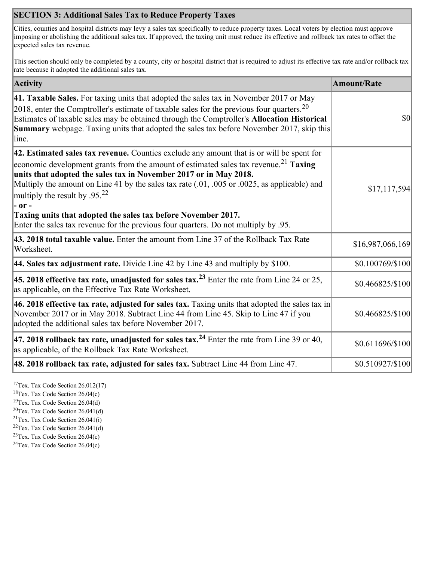# **SECTION 3: Additional Sales Tax to Reduce Property Taxes**

Cities, counties and hospital districts may levy a sales tax specifically to reduce property taxes. Local voters by election must approve imposing or abolishing the additional sales tax. If approved, the taxing unit must reduce its effective and rollback tax rates to offset the expected sales tax revenue.

This section should only be completed by a county, city or hospital district that is required to adjust its effective tax rate and/or rollback tax rate because it adopted the additional sales tax.

| <b>Activity</b>                                                                                                                                                                                                                                                                                                                                                                                                                                                                             | <b>Amount/Rate</b> |
|---------------------------------------------------------------------------------------------------------------------------------------------------------------------------------------------------------------------------------------------------------------------------------------------------------------------------------------------------------------------------------------------------------------------------------------------------------------------------------------------|--------------------|
| 41. Taxable Sales. For taxing units that adopted the sales tax in November 2017 or May<br>2018, enter the Comptroller's estimate of taxable sales for the previous four quarters. <sup>20</sup><br>Estimates of taxable sales may be obtained through the Comptroller's Allocation Historical<br>Summary webpage. Taxing units that adopted the sales tax before November 2017, skip this<br>line.                                                                                          | \$0                |
| 42. Estimated sales tax revenue. Counties exclude any amount that is or will be spent for<br>economic development grants from the amount of estimated sales tax revenue. <sup>21</sup> Taxing<br>units that adopted the sales tax in November 2017 or in May 2018.<br>Multiply the amount on Line 41 by the sales tax rate (.01, .005 or .0025, as applicable) and<br>multiply the result by .95. <sup>22</sup><br> - or -<br>Taxing units that adopted the sales tax before November 2017. | \$17,117,594       |
| Enter the sales tax revenue for the previous four quarters. Do not multiply by .95.<br>43. 2018 total taxable value. Enter the amount from Line 37 of the Rollback Tax Rate<br>Worksheet.                                                                                                                                                                                                                                                                                                   | \$16,987,066,169   |
| <b>44. Sales tax adjustment rate.</b> Divide Line 42 by Line 43 and multiply by \$100.                                                                                                                                                                                                                                                                                                                                                                                                      | \$0.100769/\$100   |
| 45. 2018 effective tax rate, unadjusted for sales tax. <sup>23</sup> Enter the rate from Line 24 or 25,<br>as applicable, on the Effective Tax Rate Worksheet.                                                                                                                                                                                                                                                                                                                              | \$0.466825/\$100   |
| 46. 2018 effective tax rate, adjusted for sales tax. Taxing units that adopted the sales tax in<br>November 2017 or in May 2018. Subtract Line 44 from Line 45. Skip to Line 47 if you<br>adopted the additional sales tax before November 2017.                                                                                                                                                                                                                                            | \$0.466825/\$100   |
| 47. 2018 rollback tax rate, unadjusted for sales tax. <sup>24</sup> Enter the rate from Line 39 or 40,<br>as applicable, of the Rollback Tax Rate Worksheet.                                                                                                                                                                                                                                                                                                                                | \$0.611696/\$100   |
| 48. 2018 rollback tax rate, adjusted for sales tax. Subtract Line 44 from Line 47.                                                                                                                                                                                                                                                                                                                                                                                                          | \$0.510927/\$100   |

<sup>17</sup>Tex. Tax Code Section 26.012(17)

<sup>18</sup>Tex. Tax Code Section 26.04(c)

<sup>19</sup>Tex. Tax Code Section 26.04(d)

 $20$ Tex. Tax Code Section 26.041(d)

<sup>21</sup>Tex. Tax Code Section  $26.041(i)$ 

 $22$ Tex. Tax Code Section 26.041(d)

 $23$ Tex. Tax Code Section 26.04(c)  $24$ Tex. Tax Code Section 26.04(c)